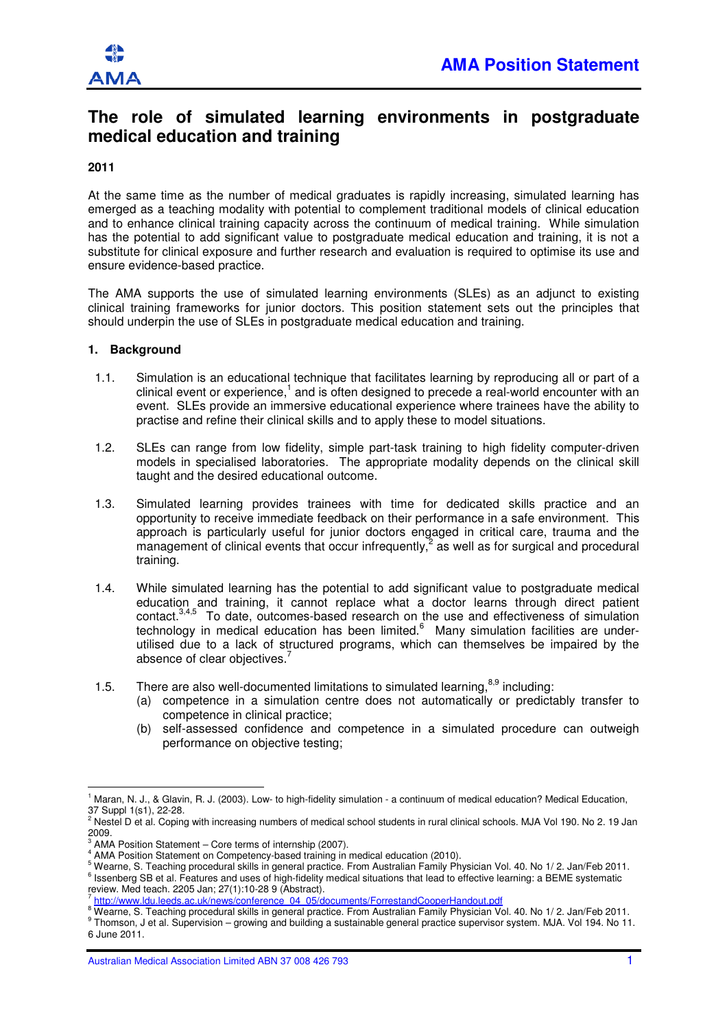

# **The role of simulated learning environments in postgraduate medical education and training**

## **2011**

At the same time as the number of medical graduates is rapidly increasing, simulated learning has emerged as a teaching modality with potential to complement traditional models of clinical education and to enhance clinical training capacity across the continuum of medical training. While simulation has the potential to add significant value to postgraduate medical education and training, it is not a substitute for clinical exposure and further research and evaluation is required to optimise its use and ensure evidence-based practice.

The AMA supports the use of simulated learning environments (SLEs) as an adjunct to existing clinical training frameworks for junior doctors. This position statement sets out the principles that should underpin the use of SLEs in postgraduate medical education and training.

#### **1. Background**

 $\overline{a}$ 

- 1.1. Simulation is an educational technique that facilitates learning by reproducing all or part of a clinical event or experience,<sup>1</sup> and is often designed to precede a real-world encounter with an event. SLEs provide an immersive educational experience where trainees have the ability to practise and refine their clinical skills and to apply these to model situations.
- 1.2. SLEs can range from low fidelity, simple part-task training to high fidelity computer-driven models in specialised laboratories. The appropriate modality depends on the clinical skill taught and the desired educational outcome.
- 1.3. Simulated learning provides trainees with time for dedicated skills practice and an opportunity to receive immediate feedback on their performance in a safe environment. This approach is particularly useful for junior doctors engaged in critical care, trauma and the management of clinical events that occur infrequently, $^2$  as well as for surgical and procedural training.
- 1.4. While simulated learning has the potential to add significant value to postgraduate medical education and training, it cannot replace what a doctor learns through direct patient contact.<sup>3,4,5</sup> To date outcomes-based research on the use and effectiveness of simulation  $\overline{5}$  To date, outcomes-based research on the use and effectiveness of simulation technology in medical education has been limited. $^6$  Many simulation facilities are underutilised due to a lack of structured programs, which can themselves be impaired by the absence of clear objectives.<sup>7</sup>
- 1.5. There are also well-documented limitations to simulated learning,  $8.9$  including:
	- (a) competence in a simulation centre does not automatically or predictably transfer to competence in clinical practice;
	- (b) self-assessed confidence and competence in a simulated procedure can outweigh performance on objective testing;

Australian Medical Association Limited ABN 37 008 426 793 1

<sup>&</sup>lt;sup>1</sup> Maran, N. J., & Glavin, R. J. (2003). Low- to high-fidelity simulation - a continuum of medical education? Medical Education, 37 Suppl 1(s1), 22-28.

<sup>&</sup>lt;sup>2</sup> Nestel D et al. Coping with increasing numbers of medical school students in rural clinical schools. MJA Vol 190. No 2. 19 Jan 2009.

<sup>3</sup> AMA Position Statement – Core terms of internship (2007).

<sup>4</sup> AMA Position Statement on Competency-based training in medical education (2010).

<sup>5</sup> Wearne, S. Teaching procedural skills in general practice. From Australian Family Physician Vol. 40. No 1/ 2. Jan/Feb 2011. <sup>6</sup> Issenberg SB et al. Features and uses of high-fidelity medical situations that lead to effective learning: a BEME systematic

review. Med teach. 2205 Jan; 27(1):10-28 9 (Abstract).

<sup>7</sup> http://www.ldu.leeds.ac.uk/news/conference\_04\_05/documents/ForrestandCooperHandout.pdf

<sup>&</sup>lt;sup>8</sup> Wearne, S. Teaching procedural skills in general practice. From Australian Family Physician Vol. 40. No 1/ 2. Jan/Feb 2011. 9 Thomson, J et al. Supervision – growing and building a sustainable general practice supervisor system. MJA. Vol 194. No 11. 6 June 2011.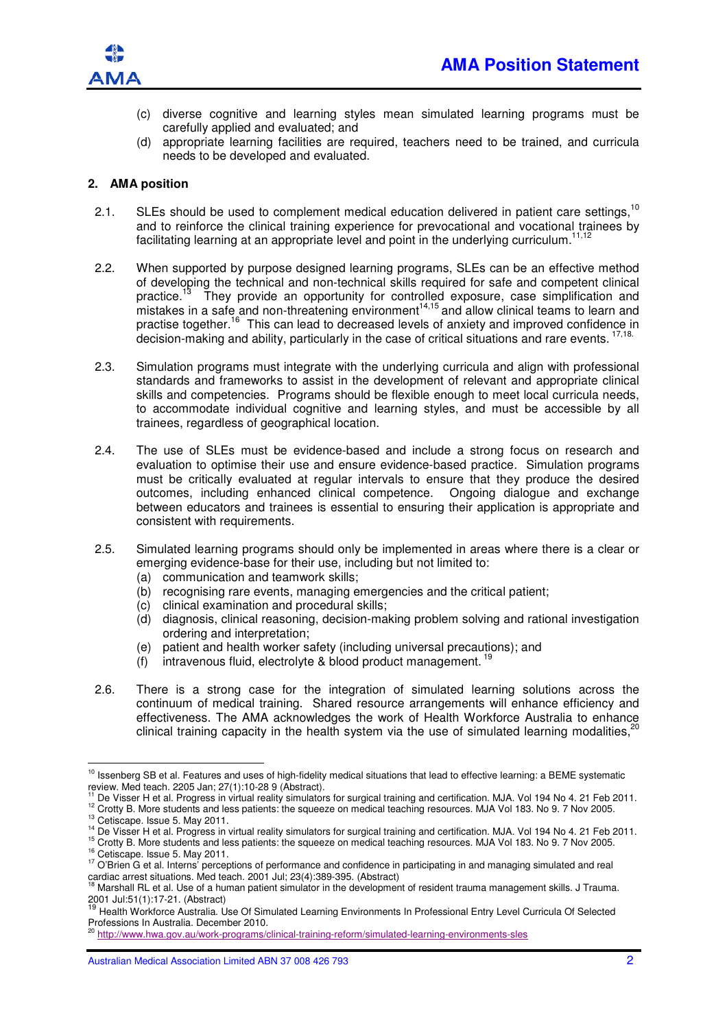

- (c) diverse cognitive and learning styles mean simulated learning programs must be carefully applied and evaluated; and
- (d) appropriate learning facilities are required, teachers need to be trained, and curricula needs to be developed and evaluated.

### **2. AMA position**

- 2.1. SLEs should be used to complement medical education delivered in patient care settings.<sup>10</sup> and to reinforce the clinical training experience for prevocational and vocational trainees by facilitating learning at an appropriate level and point in the underlying curriculum.<sup>1</sup>
- 2.2. When supported by purpose designed learning programs, SLEs can be an effective method of developing the technical and non-technical skills required for safe and competent clinical practice.<sup>13</sup> They provide an opportunity for controlled exposure, case simplification and mistakes in a safe and non-threatening environment<sup>14,15</sup> and allow clinical teams to learn and practise together.<sup>16</sup> This can lead to decreased levels of anxiety and improved confidence in decision-making and ability, particularly in the case of critical situations and rare events. <sup>17,18</sup>
- 2.3. Simulation programs must integrate with the underlying curricula and align with professional standards and frameworks to assist in the development of relevant and appropriate clinical skills and competencies. Programs should be flexible enough to meet local curricula needs, to accommodate individual cognitive and learning styles, and must be accessible by all trainees, regardless of geographical location.
- 2.4. The use of SLEs must be evidence-based and include a strong focus on research and evaluation to optimise their use and ensure evidence-based practice. Simulation programs must be critically evaluated at regular intervals to ensure that they produce the desired outcomes, including enhanced clinical competence. Ongoing dialogue and exchange between educators and trainees is essential to ensuring their application is appropriate and consistent with requirements.
- 2.5. Simulated learning programs should only be implemented in areas where there is a clear or emerging evidence-base for their use, including but not limited to:
	- (a) communication and teamwork skills;
	- (b) recognising rare events, managing emergencies and the critical patient;
	- (c) clinical examination and procedural skills;
	- (d) diagnosis, clinical reasoning, decision-making problem solving and rational investigation ordering and interpretation;
	- (e) patient and health worker safety (including universal precautions); and
	- $(f)$  intravenous fluid, electrolyte & blood product management.<sup>19</sup>
- 2.6. There is a strong case for the integration of simulated learning solutions across the continuum of medical training. Shared resource arrangements will enhance efficiency and continuum of medical training. Original resource arrangements and research effectiveness. The AMA acknowledges the work of Health Workforce Australia to enhance clinical training capacity in the health system via the use of simulated learning modalities, $\hat{i}$

<sup>11</sup> De Visser H et al. Progress in virtual reality simulators for surgical training and certification. MJA. Vol 194 No 4. 21 Feb 2011. <sup>12</sup> Crotty B. More students and less patients: the squeeze on medical teaching resources. MJA Vol 183. No 9. 7 Nov 2005.

 $\overline{a}$ 

<sup>15</sup> Crotty B. More students and less patients: the squeeze on medical teaching resources. MJA Vol 183. No 9. 7 Nov 2005. <sup>16</sup> Cetiscape. Issue 5. May 2011.

<sup>&</sup>lt;sup>10</sup> Issenberg SB et al. Features and uses of high-fidelity medical situations that lead to effective learning: a BEME systematic review. Med teach. 2205 Jan; 27(1):10-28 9 (Abstract).

<sup>13</sup> Cetiscape. Issue 5. May 2011.

<sup>&</sup>lt;sup>14</sup> De Visser H et al. Progress in virtual reality simulators for surgical training and certification. MJA. Vol 194 No 4. 21 Feb 2011.

<sup>&</sup>lt;sup>17</sup> O'Brien G et al. Interns' perceptions of performance and confidence in participating in and managing simulated and real cardiac arrest situations. Med teach. 2001 Jul; 23(4):389-395. (Abstract)

<sup>18</sup> Marshall RL et al. Use of a human patient simulator in the development of resident trauma management skills. J Trauma.

<sup>2001</sup> Jul:51(1):17-21. (Abstract)<br><sup>19</sup> Health Workforce Australia. Use Of Simulated Learning Environments In Professional Entry Level Curricula Of Selected Professions In Australia. December 2010.

<sup>20</sup> http://www.hwa.gov.au/work-programs/clinical-training-reform/simulated-learning-environments-sles